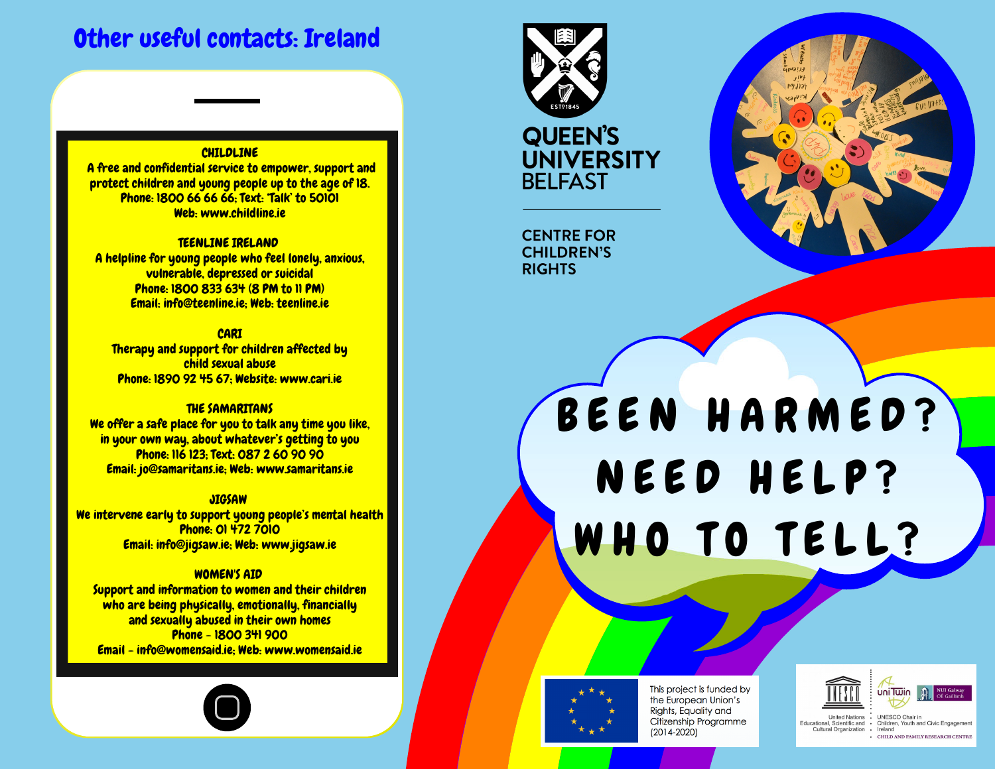# Other useful contacts: Ireland

## **CHILDLINE**

A free and confidential service to empower, support and protect children and young people up to the age of 18. Phone: 1800 66 66 66; Text: 'Talk' to 50101 Web: www.childline.ie

#### TEENLINE IRELAND

A helpline for young people who feel lonely, anxious, vulnerable, depressed or suicidal Phone: 1800 833 634 (8 PM to 11 PM) Email: info@teenline.ie; Web: teenline.ie

**CARI** Therapy and support for children affected by child sexual abuse Phone: 1890 92 45 67; Website: www.cari.ie

#### THE SAMARITANS

We offer a safe place for you to talk any time you like, in your own way, about whatever's getting to you Phone: 116 123; Text: 087 2 60 90 90 Email: jo@samaritans.ie; Web: www.samaritans.ie

#### **JIGSAW**

We intervene early to support young people's mental health Phone: 01 472 7010 Email: info@jigsaw.ie; Web: www.jigsaw.ie

## WOMEN'S AID

Support and information to women and their children who are being physically, emotionally, financially and sexually abused in their own homes Phone - 1800 341 900 Email - info@womensaid.ie; Web: www.womensaid.ie





**QUEEN'S UNIVERSITY BELFAST** 

**CENTRE FOR CHILDREN'S RIGHTS** 

# BEEN HARMED? NEED HELP? W H O TO TELL?



This project is funded by the European Union's Rights, Equality and Citizenship Programme  $(2014 - 2020)$ 



Cultural Organization Ireland - CHILD AND FAMILY RESEARCH CENTRE